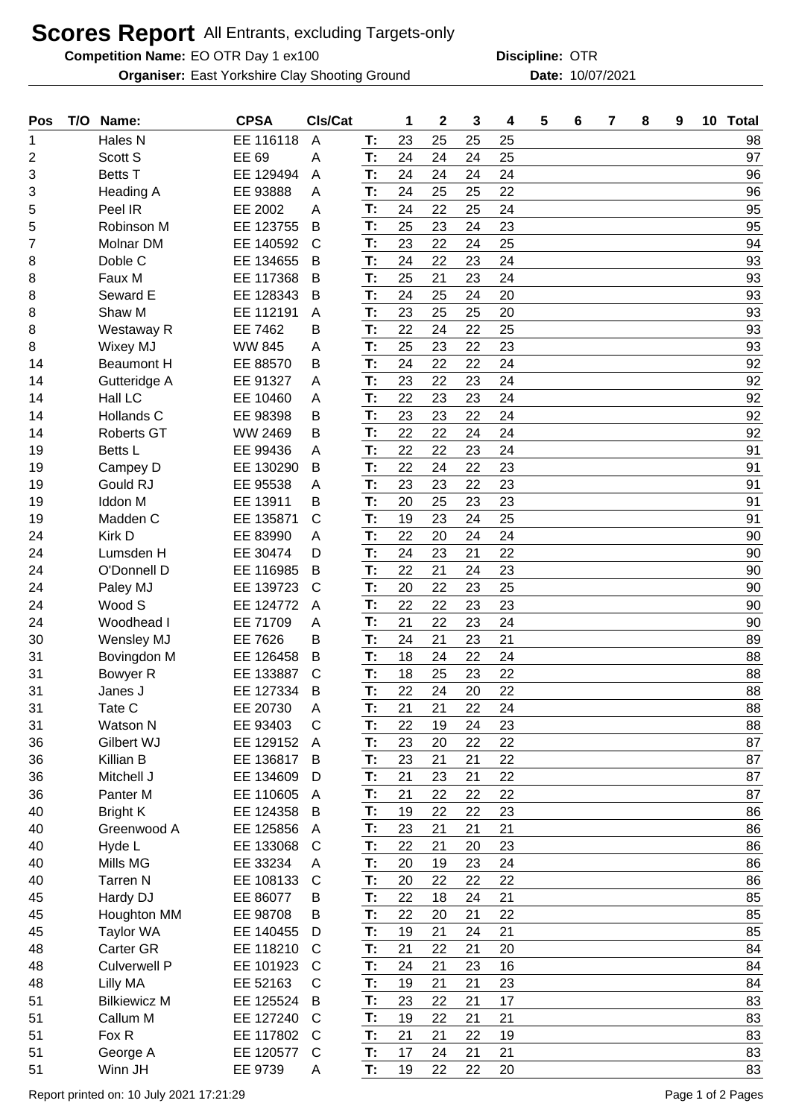## **Scores Report** All Entrants, excluding Targets-only

**Competition Name:** EO OTR Day 1 ex100 **Competition Name: OTR** 

East Yorkshire Clay Shooting Ground 10/07/2021 **Organiser: Date:**

**Discipline:**

| Pos | T/O | Name:               | <b>CPSA</b>   | CIs/Cat        |    | 1  | $\boldsymbol{2}$ | 3  | 4  | 5 | 6 | 7 | 8 | 9 | 10 Total |
|-----|-----|---------------------|---------------|----------------|----|----|------------------|----|----|---|---|---|---|---|----------|
| 1   |     | Hales <sub>N</sub>  | EE 116118     | $\overline{A}$ | T: | 23 | 25               | 25 | 25 |   |   |   |   |   | 98       |
| 2   |     | Scott S             | EE 69         | A              | T: | 24 | 24               | 24 | 25 |   |   |   |   |   | 97       |
| 3   |     | <b>Betts T</b>      | EE 129494     | A              | T: | 24 | 24               | 24 | 24 |   |   |   |   |   | 96       |
| 3   |     | <b>Heading A</b>    | EE 93888      | A              | T: | 24 | 25               | 25 | 22 |   |   |   |   |   | 96       |
| 5   |     | Peel IR             | EE 2002       | A              | T: | 24 | 22               | 25 | 24 |   |   |   |   |   | 95       |
| 5   |     | Robinson M          | EE 123755     | B              | T: | 25 | 23               | 24 | 23 |   |   |   |   |   | 95       |
| 7   |     | Molnar DM           | EE 140592     | $\mathsf{C}$   | T: | 23 | 22               | 24 | 25 |   |   |   |   |   | 94       |
| 8   |     | Doble C             | EE 134655     | B              | T: | 24 | 22               | 23 | 24 |   |   |   |   |   | 93       |
| 8   |     | Faux M              | EE 117368     | B              | T: | 25 | 21               | 23 | 24 |   |   |   |   |   | 93       |
| 8   |     | Seward E            | EE 128343     | B              | T: | 24 | 25               | 24 | 20 |   |   |   |   |   | 93       |
| 8   |     | Shaw M              | EE 112191     | A              | T: | 23 | 25               | 25 | 20 |   |   |   |   |   | 93       |
| 8   |     | Westaway R          | EE 7462       | в              | T: | 22 | 24               | 22 | 25 |   |   |   |   |   | 93       |
| 8   |     | Wixey MJ            | <b>WW 845</b> | Α              | T: | 25 | 23               | 22 | 23 |   |   |   |   |   | 93       |
| 14  |     | <b>Beaumont H</b>   | EE 88570      | В              | T: | 24 | 22               | 22 | 24 |   |   |   |   |   | 92       |
| 14  |     | Gutteridge A        | EE 91327      | A              | T: | 23 | 22               | 23 | 24 |   |   |   |   |   | 92       |
| 14  |     | Hall LC             | EE 10460      | A              | T: | 22 | 23               | 23 | 24 |   |   |   |   |   | 92       |
| 14  |     | Hollands C          | EE 98398      | В              | T: | 23 | 23               | 22 | 24 |   |   |   |   |   | 92       |
| 14  |     | <b>Roberts GT</b>   | WW 2469       | В              | T: | 22 | 22               | 24 | 24 |   |   |   |   |   | 92       |
| 19  |     | Betts L             | EE 99436      | Α              | T: | 22 | 22               | 23 | 24 |   |   |   |   |   | 91       |
| 19  |     | Campey D            | EE 130290     | B              | T: | 22 | 24               | 22 | 23 |   |   |   |   |   | 91       |
| 19  |     | Gould RJ            | EE 95538      | A              | T: | 23 | 23               | 22 | 23 |   |   |   |   |   | 91       |
| 19  |     | <b>Iddon M</b>      | EE 13911      | В              | T: | 20 | 25               | 23 | 23 |   |   |   |   |   | 91       |
| 19  |     | Madden C            | EE 135871     | C              | T: | 19 | 23               | 24 | 25 |   |   |   |   |   | 91       |
| 24  |     | Kirk D              | EE 83990      | A              | T: | 22 | 20               | 24 | 24 |   |   |   |   |   | 90       |
| 24  |     | Lumsden H           | EE 30474      | D              | T: | 24 | 23               | 21 | 22 |   |   |   |   |   | 90       |
| 24  |     | O'Donnell D         | EE 116985     | B              | T: | 22 | 21               | 24 | 23 |   |   |   |   |   | 90       |
| 24  |     | Paley MJ            | EE 139723     | $\mathsf{C}$   | T: | 20 | 22               | 23 | 25 |   |   |   |   |   | 90       |
| 24  |     | Wood S              | EE 124772     | A              | T: | 22 | 22               | 23 | 23 |   |   |   |   |   | 90       |
| 24  |     | Woodhead I          | EE 71709      | A              | T: | 21 | 22               | 23 | 24 |   |   |   |   |   | 90       |
| 30  |     | Wensley MJ          | EE 7626       | В              | T: | 24 | 21               | 23 | 21 |   |   |   |   |   | 89       |
| 31  |     | Bovingdon M         | EE 126458     | B              | T: | 18 | 24               | 22 | 24 |   |   |   |   |   | 88       |
| 31  |     | Bowyer R            | EE 133887     | $\mathsf{C}$   | T: | 18 | 25               | 23 | 22 |   |   |   |   |   | 88       |
| 31  |     | Janes J             | EE 127334     | B              | T: | 22 | 24               | 20 | 22 |   |   |   |   |   | 88       |
| 31  |     | Tate C              | EE 20730      | A              | T: | 21 | 21               | 22 | 24 |   |   |   |   |   | 88       |
| 31  |     | Watson N            | EE 93403      | C              | T: | 22 | 19               | 24 | 23 |   |   |   |   |   | 88       |
| 36  |     | Gilbert WJ          | EE 129152     | A              | T: | 23 | 20               | 22 | 22 |   |   |   |   |   | 87       |
| 36  |     | Killian B           | EE 136817     | B              | T: | 23 | 21               | 21 | 22 |   |   |   |   |   | 87       |
| 36  |     | Mitchell J          | EE 134609     | D              | T: | 21 | 23               | 21 | 22 |   |   |   |   |   | 87       |
| 36  |     | Panter M            | EE 110605     | A              | T: | 21 | 22               | 22 | 22 |   |   |   |   |   | 87       |
| 40  |     | <b>Bright K</b>     | EE 124358     | B              | T: | 19 | 22               | 22 | 23 |   |   |   |   |   | 86       |
| 40  |     | Greenwood A         | EE 125856     | A              | T: | 23 | 21               | 21 | 21 |   |   |   |   |   | 86       |
| 40  |     | Hyde L              | EE 133068     | C              | T: | 22 | 21               | 20 | 23 |   |   |   |   |   | 86       |
| 40  |     | Mills MG            | EE 33234      | A              | T: | 20 | 19               | 23 | 24 |   |   |   |   |   | 86       |
| 40  |     | <b>Tarren N</b>     | EE 108133     | C              | T: | 20 | 22               | 22 | 22 |   |   |   |   |   | 86       |
| 45  |     | Hardy DJ            | EE 86077      | B              | T: | 22 | 18               | 24 | 21 |   |   |   |   |   | 85       |
| 45  |     | Houghton MM         | EE 98708      | Β              | T: | 22 | 20               | 21 | 22 |   |   |   |   |   | 85       |
| 45  |     | <b>Taylor WA</b>    | EE 140455     | D              | T: | 19 | 21               | 24 | 21 |   |   |   |   |   | 85       |
| 48  |     | <b>Carter GR</b>    | EE 118210     | C              | T: | 21 | 22               | 21 | 20 |   |   |   |   |   | 84       |
| 48  |     | <b>Culverwell P</b> | EE 101923     | C              | T: | 24 | 21               | 23 | 16 |   |   |   |   |   | 84       |
| 48  |     | Lilly MA            | EE 52163      | C              | T: | 19 | 21               | 21 | 23 |   |   |   |   |   | 84       |
| 51  |     | <b>Bilkiewicz M</b> | EE 125524     | B              | T: | 23 | 22               | 21 | 17 |   |   |   |   |   | 83       |
| 51  |     | Callum M            | EE 127240     | C              | T: | 19 | 22               | 21 | 21 |   |   |   |   |   | 83       |
| 51  |     | Fox R               | EE 117802     | C              | T: | 21 | 21               | 22 | 19 |   |   |   |   |   | 83       |
| 51  |     | George A            | EE 120577     | $\mathsf{C}$   | T: | 17 | 24               | 21 | 21 |   |   |   |   |   | 83       |
| 51  |     | Winn JH             | EE 9739       | A              | T: | 19 | 22               | 22 | 20 |   |   |   |   |   | 83       |
|     |     |                     |               |                |    |    |                  |    |    |   |   |   |   |   |          |